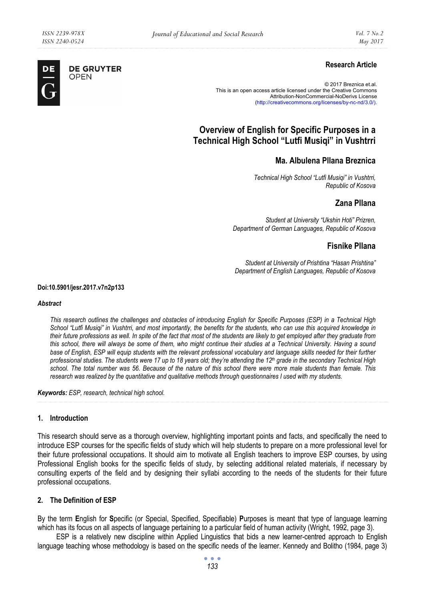**DE GRUYTER** OPEN

DE

## **Research Article**

© 2017 Breznica et.al. This is an open access article licensed under the Creative Commons Attribution-NonCommercial-NoDerivs License (http://creativecommons.org/licenses/by-nc-nd/3.0/).

# **Overview of English for Specific Purposes in a Technical High School "Lutfi Musiqi" in Vushtrri**

## **Ma. Albulena Pllana Breznica**

*Technical High School "Lutfi Musiqi" in Vushtrri, Republic of Kosova* 

### **Zana Pllana**

*Student at University "Ukshin Hoti" Prizren, Department of German Languages, Republic of Kosova* 

### **Fisnike Pllana**

*Student at University of Prishtina "Hasan Prishtina" Department of English Languages, Republic of Kosova* 

#### **Doi:10.5901/jesr.2017.v7n2p133**

#### *Abstract*

*This research outlines the challenges and obstacles of introducing English for Specific Purposes (ESP) in a Technical High School "Lutfi Musiqi" in Vushtrri, and most importantly, the benefits for the students, who can use this acquired knowledge in their future professions as well. In spite of the fact that most of the students are likely to get employed after they graduate from this school, there will always be some of them, who might continue their studies at a Technical University. Having a sound base of English, ESP will equip students with the relevant professional vocabulary and language skills needed for their further professional studies. The students were 17 up to 18 years old; they're attending the 12th grade in the secondary Technical High school. The total number was 56. Because of the nature of this school there were more male students than female. This research was realized by the quantitative and qualitative methods through questionnaires I used with my students.* 

*Keywords: ESP, research, technical high school.* 

#### **1. Introduction**

This research should serve as a thorough overview, highlighting important points and facts, and specifically the need to introduce ESP courses for the specific fields of study which will help students to prepare on a more professional level for their future professional occupations. It should aim to motivate all English teachers to improve ESP courses, by using Professional English books for the specific fields of study, by selecting additional related materials, if necessary by consulting experts of the field and by designing their syllabi according to the needs of the students for their future professional occupations.

#### **2. The Definition of ESP**

By the term **E**nglish for **S**pecific (or Special, Specified, Specifiable) **P**urposes is meant that type of language learning which has its focus on all aspects of language pertaining to a particular field of human activity (Wright, 1992, page 3).

ESP is a relatively new discipline within Applied Linguistics that bids a new learner-centred approach to English language teaching whose methodology is based on the specific needs of the learner. Kennedy and Bolitho (1984, page 3)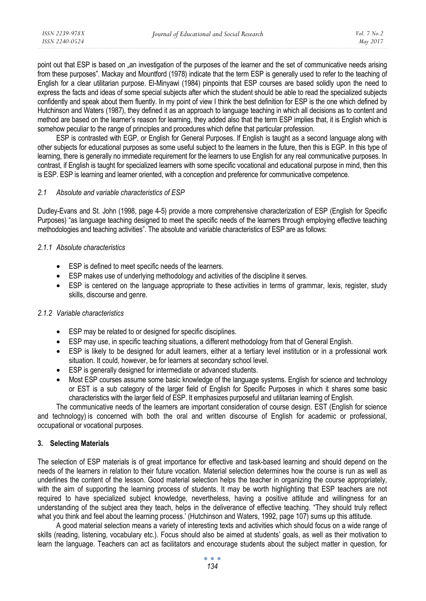point out that ESP is based on "an investigation of the purposes of the learner and the set of communicative needs arising from these purposes". Mackay and Mountford (1978) indicate that the term ESP is generally used to refer to the teaching of English for a clear utilitarian purpose. El-Minyawi (1984) pinpoints that ESP courses are based solidly upon the need to express the facts and ideas of some special subjects after which the student should be able to read the specialized subjects confidently and speak about them fluently. In my point of view I think the best definition for ESP is the one which defined by Hutchinson and Waters (1987), they defined it as an approach to language teaching in which all decisions as to content and method are based on the learner's reason for learning, they added also that the term ESP implies that, it is English which is somehow peculiar to the range of principles and procedures which define that particular profession.

ESP is contrasted with EGP, or English for General Purposes. If English is taught as a second language along with other subjects for educational purposes as some useful subject to the learners in the future, then this is EGP. In this type of learning, there is generally no immediate requirement for the learners to use English for any real communicative purposes. In contrast, if English is taught for specialized learners with some specific vocational and educational purpose in mind, then this is ESP. ESP is learning and learner oriented, with a conception and preference for communicative competence.

#### *2.1 Absolute and variable characteristics of ESP*

Dudley-Evans and St. John (1998, page 4-5) provide a more comprehensive characterization of ESP (English for Specific Purposes) "as language teaching designed to meet the specific needs of the learners through employing effective teaching methodologies and teaching activities". The absolute and variable characteristics of ESP are as follows:

#### *2.1.1 Absolute characteristics*

- ESP is defined to meet specific needs of the learners.
- ESP makes use of underlying methodology and activities of the discipline it serves.
- ESP is centered on the language appropriate to these activities in terms of grammar, lexis, register, study skills, discourse and genre.

#### *2.1.2 Variable characteristics*

- ESP may be related to or designed for specific disciplines.
- ESP may use, in specific teaching situations, a different methodology from that of General English.
- ESP is likely to be designed for adult learners, either at a tertiary level institution or in a professional work situation. It could, however, be for learners at secondary school level.
- ESP is generally designed for intermediate or advanced students.
- Most ESP courses assume some basic knowledge of the language systems. English for science and technology or EST is a sub category of the larger field of English for Specific Purposes in which it shares some basic characteristics with the larger field of ESP. It emphasizes purposeful and utilitarian learning of English.

The communicative needs of the learners are important consideration of course design. EST (English for science and technology) is concerned with both the oral and written discourse of English for academic or professional, occupational or vocational purposes.

#### **3. Selecting Materials**

The selection of ESP materials is of great importance for effective and task-based learning and should depend on the needs of the learners in relation to their future vocation. Material selection determines how the course is run as well as underlines the content of the lesson. Good material selection helps the teacher in organizing the course appropriately, with the aim of supporting the learning process of students. It may be worth highlighting that ESP teachers are not required to have specialized subject knowledge, nevertheless, having a positive attitude and willingness for an understanding of the subject area they teach, helps in the deliverance of effective teaching. "They should truly reflect what you think and feel about the learning process.' (Hutchinson and Waters, 1992, page 107) sums up this attitude.

A good material selection means a variety of interesting texts and activities which should focus on a wide range of skills (reading, listening, vocabulary etc.). Focus should also be aimed at students' goals, as well as their motivation to learn the language. Teachers can act as facilitators and encourage students about the subject matter in question, for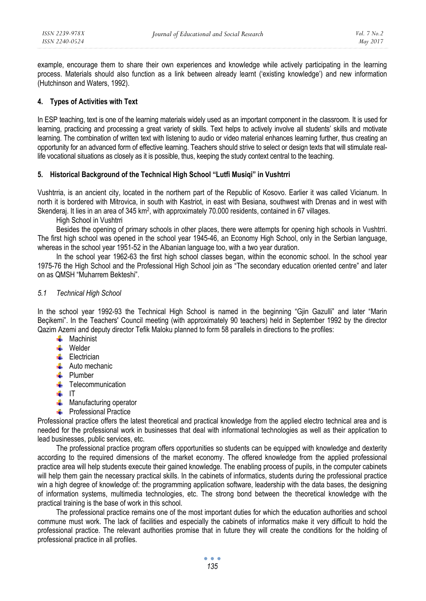example, encourage them to share their own experiences and knowledge while actively participating in the learning process. Materials should also function as a link between already learnt ('existing knowledge') and new information (Hutchinson and Waters, 1992).

### **4. Types of Activities with Text**

In ESP teaching, text is one of the learning materials widely used as an important component in the classroom. It is used for learning, practicing and processing a great variety of skills. Text helps to actively involve all students' skills and motivate learning. The combination of written text with listening to audio or video material enhances learning further, thus creating an opportunity for an advanced form of effective learning. Teachers should strive to select or design texts that will stimulate reallife vocational situations as closely as it is possible, thus, keeping the study context central to the teaching.

### **5. Historical Background of the Technical High School "Lutfi Musiqi" in Vushtrri**

Vushtrria, is an ancient city, located in the northern part of the Republic of Kosovo. Earlier it was called Vicianum. In north it is bordered with Mitrovica, in south with Kastriot, in east with Besiana, southwest with Drenas and in west with Skenderaj. It lies in an area of 345 km<sup>2</sup>, with approximately 70.000 residents, contained in 67 villages.

High School in Vushtrri

Besides the opening of primary schools in other places, there were attempts for opening high schools in Vushtrri. The first high school was opened in the school year 1945-46, an Economy High School, only in the Serbian language, whereas in the school year 1951-52 in the Albanian language too, with a two year duration.

In the school year 1962-63 the first high school classes began, within the economic school. In the school year 1975-76 the High School and the Professional High School join as "The secondary education oriented centre" and later on as QMSH "Muharrem Bekteshi".

#### *5.1 Technical High School*

In the school year 1992-93 the Technical High School is named in the beginning "Gjin Gazulli" and later "Marin Beçikemi". In the Teachers' Council meeting (with approximately 90 teachers) held in September 1992 by the director Qazim Azemi and deputy director Tefik Maloku planned to form 58 parallels in directions to the profiles:

- $\blacksquare$  Machinist
- **Welder**
- **Electrician**
- $\frac{1}{\sqrt{2}}$  Auto mechanic
- **Plumber**
- $\leftarrow$  Telecommunication
- $\blacksquare$  IT
- $\frac{1}{\sqrt{1}}$  Manufacturing operator
- **EXECUTE:** Professional Practice

Professional practice offers the latest theoretical and practical knowledge from the applied electro technical area and is needed for the professional work in businesses that deal with informational technologies as well as their application to lead businesses, public services, etc.

The professional practice program offers opportunities so students can be equipped with knowledge and dexterity according to the required dimensions of the market economy. The offered knowledge from the applied professional practice area will help students execute their gained knowledge. The enabling process of pupils, in the computer cabinets will help them gain the necessary practical skills. In the cabinets of informatics, students during the professional practice win a high degree of knowledge of: the programming application software, leadership with the data bases, the designing of information systems, multimedia technologies, etc. The strong bond between the theoretical knowledge with the practical training is the base of work in this school.

The professional practice remains one of the most important duties for which the education authorities and school commune must work. The lack of facilities and especially the cabinets of informatics make it very difficult to hold the professional practice. The relevant authorities promise that in future they will create the conditions for the holding of professional practice in all profiles.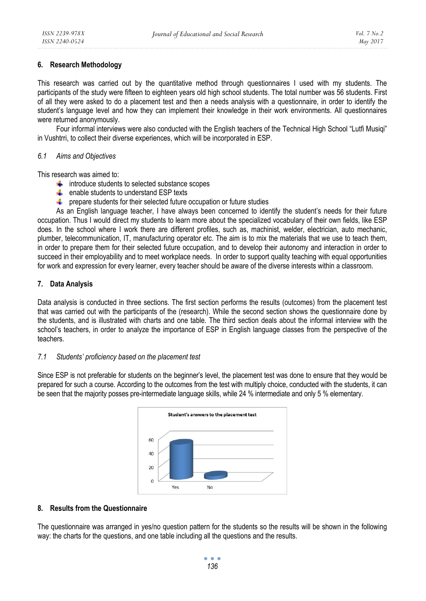## **6. Research Methodology**

This research was carried out by the quantitative method through questionnaires I used with my students. The participants of the study were fifteen to eighteen years old high school students. The total number was 56 students. First of all they were asked to do a placement test and then a needs analysis with a questionnaire, in order to identify the student's language level and how they can implement their knowledge in their work environments. All questionnaires were returned anonymously.

Four informal interviews were also conducted with the English teachers of the Technical High School "Lutfi Musiqi" in Vushtrri, to collect their diverse experiences, which will be incorporated in ESP.

#### *6.1 Aims and Objectives*

This research was aimed to:

- $\frac{1}{\sqrt{1}}$  introduce students to selected substance scopes
- $\triangleq$  enable students to understand ESP texts
- **F** prepare students for their selected future occupation or future studies

As an English language teacher, I have always been concerned to identify the student's needs for their future occupation. Thus I would direct my students to learn more about the specialized vocabulary of their own fields, like ESP does. In the school where I work there are different profiles, such as, machinist, welder, electrician, auto mechanic, plumber, telecommunication, IT, manufacturing operator etc. The aim is to mix the materials that we use to teach them, in order to prepare them for their selected future occupation, and to develop their autonomy and interaction in order to succeed in their employability and to meet workplace needs. In order to support quality teaching with equal opportunities for work and expression for every learner, every teacher should be aware of the diverse interests within a classroom.

## **7. Data Analysis**

Data analysis is conducted in three sections. The first section performs the results (outcomes) from the placement test that was carried out with the participants of the (research). While the second section shows the questionnaire done by the students, and is illustrated with charts and one table. The third section deals about the informal interview with the school's teachers, in order to analyze the importance of ESP in English language classes from the perspective of the teachers.

## *7.1 Students' proficiency based on the placement test*

Since ESP is not preferable for students on the beginner's level, the placement test was done to ensure that they would be prepared for such a course. According to the outcomes from the test with multiply choice, conducted with the students, it can be seen that the majority posses pre-intermediate language skills, while 24 % intermediate and only 5 % elementary.



## **8. Results from the Questionnaire**

The questionnaire was arranged in yes/no question pattern for the students so the results will be shown in the following way: the charts for the questions, and one table including all the questions and the results.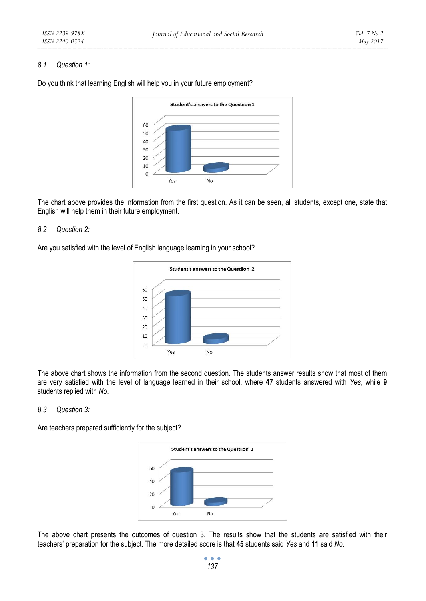#### *8.1 Question 1:*



Do you think that learning English will help you in your future employment?

The chart above provides the information from the first question. As it can be seen, all students, except one, state that English will help them in their future employment.

#### *8.2 Question 2:*

Are you satisfied with the level of English language learning in your school?



The above chart shows the information from the second question. The students answer results show that most of them are very satisfied with the level of language learned in their school, where **47** students answered with *Yes*, while **9** students replied with *No*.

#### *8.3 Question 3:*

Are teachers prepared sufficiently for the subject?



The above chart presents the outcomes of question 3. The results show that the students are satisfied with their teachers' preparation for the subject. The more detailed score is that **45** students said *Yes* and **11** said *No*.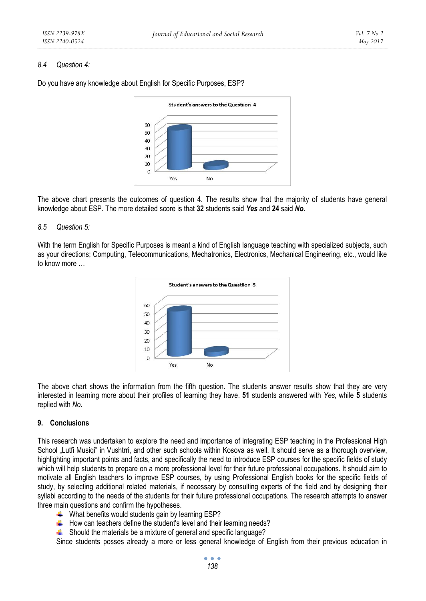#### *8.4 Question 4:*

Student's answers to the Questiion 4 60 50 40

Yes

Do you have any knowledge about English for Specific Purposes, ESP?



No

#### *8.5 Question 5:*

With the term English for Specific Purposes is meant a kind of English language teaching with specialized subjects, such as your directions; Computing, Telecommunications, Mechatronics, Electronics, Mechanical Engineering, etc., would like to know more …



The above chart shows the information from the fifth question. The students answer results show that they are very interested in learning more about their profiles of learning they have. **51** students answered with *Yes*, while **5** students replied with *No*.

#### **9. Conclusions**

This research was undertaken to explore the need and importance of integrating ESP teaching in the Professional High School "Lutfi Musiqi" in Vushtrri, and other such schools within Kosova as well. It should serve as a thorough overview, highlighting important points and facts, and specifically the need to introduce ESP courses for the specific fields of study which will help students to prepare on a more professional level for their future professional occupations. It should aim to motivate all English teachers to improve ESP courses, by using Professional English books for the specific fields of study, by selecting additional related materials, if necessary by consulting experts of the field and by designing their syllabi according to the needs of the students for their future professional occupations. The research attempts to answer three main questions and confirm the hypotheses.

- What benefits would students gain by learning ESP?
- $\ddot{\equiv}$  How can teachers define the student's level and their learning needs?
- $\blacktriangle$  Should the materials be a mixture of general and specific language?

Since students posses already a more or less general knowledge of English from their previous education in